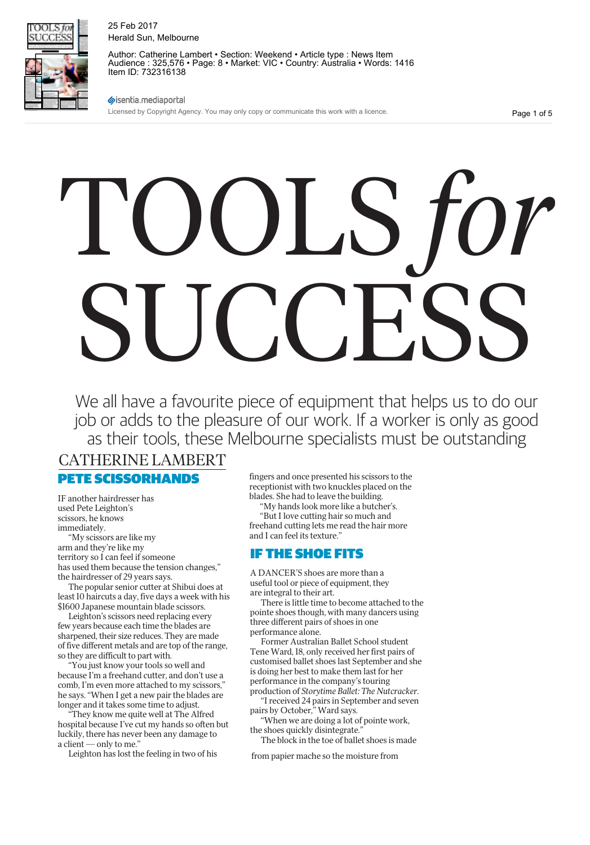

Author: Catherine Lambert • Section: Weekend • Article type : News Item Audience : 325,576 • Page: 8 • Market: VIC • Country: Australia • Words: 1416 Item ID: 732316138

sisentia.mediaportal

Licensed by Copyright Agency. You may only copy or communicate this work with a licence.

Page 1 of 5

# TOOLS *for* SUCCESS

We all have a favourite piece of equipment that helps us to do our job or adds to the pleasure of our work. If a worker is only as good as their tools, these Melbourne specialists must be outstanding

# CATHERINE LAMBERT

PETE SCISSORHANDS

IF another hairdresser has used Pete Leighton's scissors, he knows immediately.

"My scissors are like my arm and they're like my territory so I can feel if someone has used them because the tension changes," the hairdresser of 29 years says.

The popular senior cutter at Shibui does at least 10 haircuts a day, five days a week with his \$1600 Japanese mountain blade scissors.

Leighton's scissors need replacing every few years because each time the blades are sharpened, their size reduces. They are made of five different metals and are top of the range, so they are difficult to part with.

"You just know your tools so well and because I'm a freehand cutter, and don't use a comb, I'm even more attached to my scissors," he says. "When I get a new pair the blades are longer and it takes some time to adjust.

"They know me quite well at The Alfred hospital because I've cut my hands so often but luckily, there has never been any damage to a client — only to me."

Leighton has lost the feeling in two of his

fingers and once presented his scissors to the receptionist with two knuckles placed on the blades. She had to leave the building.

"My hands look more like a butcher's.

"But I love cutting hair so much and freehand cutting lets me read the hair more and I can feel its texture."

# IF THE SHOE FITS

A DANCER'S shoes are more than a useful tool or piece of equipment, they are integral to their art.

There is little time to become attached to the pointe shoes though, with many dancers using three different pairs of shoes in one performance alone.

Former Australian Ballet School student Tene Ward, 18, only received her first pairs of customised ballet shoes last September and she is doing her best to make them last for her performance in the company's touring production of Storytime Ballet: The Nutcracker.

"I received 24 pairs in September and seven pairs by October," Ward says.

"When we are doing a lot of pointe work, the shoes quickly disintegrate."

The block in the toe of ballet shoes is made

from papier mache so the moisture from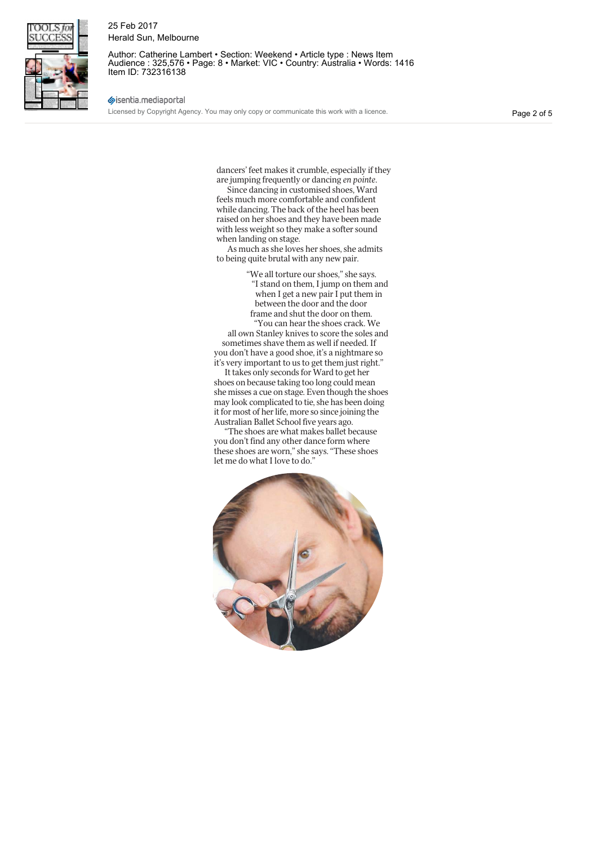

Author: Catherine Lambert • Section: Weekend • Article type : News Item Audience : 325,576 • Page: 8 • Market: VIC • Country: Australia • Words: 1416 Item ID: 732316138

#### sisentia.mediaportal

Licensed by Copyright Agency. You may only copy or communicate this work with a licence.

Page 2 of 5

dancers' feet makes it crumble, especially if they are jumping frequently or dancing en pointe.

Since dancing in customised shoes, Ward feels much more comfortable and confident while dancing. The back of the heel has been raised on her shoes and they have been made with less weight so they make a softer sound when landing on stage.

As much as she loves her shoes, she admits to being quite brutal with any new pair.

> "We all torture our shoes," she says. "I stand on them, I jump on them and when I get a new pair I put them in between the door and the door frame and shut the door on them. "You can hear the shoes crack. We

all own Stanley knives to score the soles and sometimes shave them as well if needed. If you don't have a good shoe, it's a nightmare so it's very important to us to get them just right."

It takes only seconds for Ward to get her shoes on because taking too long could mean she misses a cue on stage. Even though the shoes may look complicated to tie, she has been doing it for most of her life, more so since joining the Australian Ballet School five years ago.

"The shoes are what makes ballet because you don't find any other dance form where these shoes are worn," she says. "These shoes let me do what I love to do."

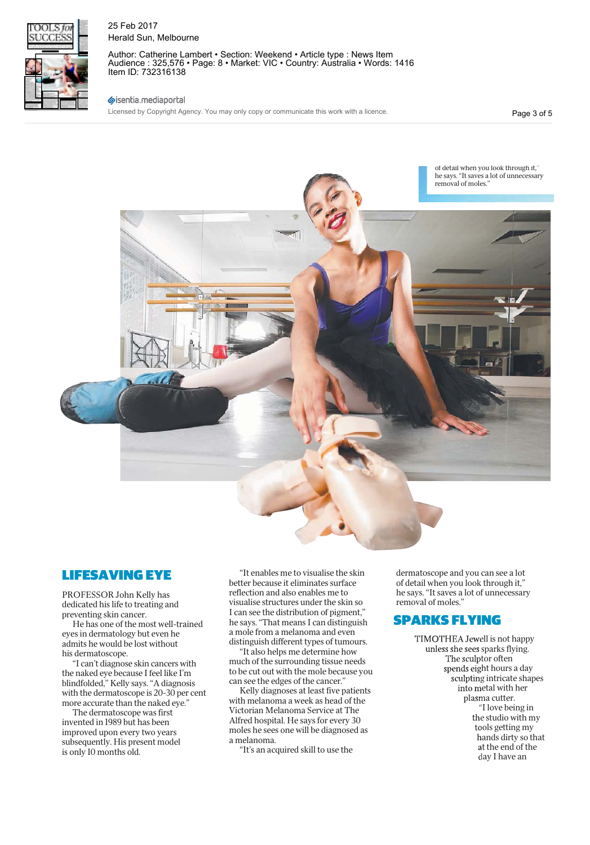

Author: Catherine Lambert • Section: Weekend • Article type : News Item Audience : 325,576 • Page: 8 • Market: VIC • Country: Australia • Words: 1416 Item ID: 732316138

#### sisentia.mediaportal

Licensed by Copyright Agency. You may only copy or communicate this work with a licence.

Page 3 of 5



# LIFESAVING EYE

PROFESSOR John Kelly has dedicated his life to treating and preventing skin cancer.

He has one of the most well-trained eyes in dermatology but even he admits he would be lost without his dermatoscope.

"I can't diagnose skin cancers with the naked eye because I feel like I'm blindfolded," Kelly says. "A diagnosis with the dermatoscope is 20-30 per cent more accurate than the naked eye."

The dermatoscope was first invented in 1989 but has been improved upon every two years subsequently. His present model is only 10 months old.

"It enables me to visualise the skin better because it eliminates surface reflection and also enables me to visualise structures under the skin so I can see the distribution of pigment," he says. "That means I can distinguish a mole from a melanoma and even distinguish different types of tumours.

"It also helps me determine how much of the surrounding tissue needs to be cut out with the mole because you can see the edges of the cancer."

Kelly diagnoses at least five patients with melanoma a week as head of the Victorian Melanoma Service at The Alfred hospital. He says for every 30 moles he sees one will be diagnosed as a melanoma.

"It's an acquired skill to use the

dermatoscope and you can see a lot of detail when you look through it," he says. "It saves a lot of unnecessary removal of moles."

# SPARKS FLYING

TIMOTHEA Jewell is not happy unless she sees sparks flying. The sculptor often spends eight hours a day sculpting intricate shapes into metal with her plasma cutter. "I love being in the studio with my tools getting my hands dirty so that at the end of the day I have an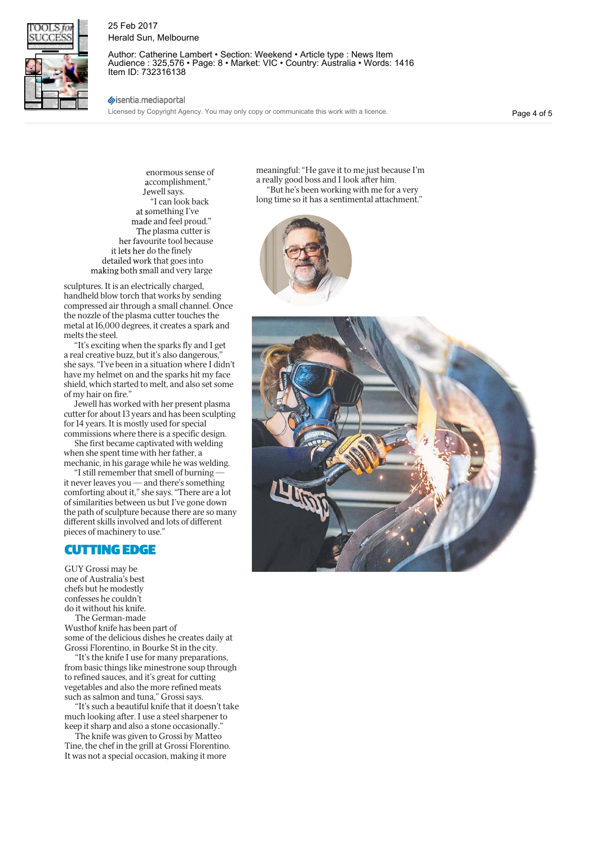

Author: Catherine Lambert • Section: Weekend • Article type : News Item Audience : 325,576 • Page: 8 • Market: VIC • Country: Australia • Words: 1416 Item ID: 732316138

#### sisentia.mediaportal

Licensed by Copyright Agency. You may only copy or communicate this work with a licence.

Page 4 of 5

enormous sense of ccomplishment," Jewell says. "I can look back at something I've made and feel proud." The plasma cutter is her favourite tool because it lets her do the finely detailed work that goes into making both small and very large

sculptures. It is an electrically charged, handheld blow torch that works by sending compressed air through a small channel. Once the nozzle of the plasma cutter touches the metal at 16,000 degrees, it creates a spark and melts the steel.

"It's exciting when the sparks fly and I get a real creative buzz, but it's also dangerous," she says. "I've been in a situation where I didn't have my helmet on and the sparks hit my face shield, which started to melt, and also set some of my hair on fire."

Jewell has worked with her present plasma cutter for about 13 years and has been sculpting for 14 years. It is mostly used for special commissions where there is a specific design.

She first became captivated with welding when she spent time with her father, a mechanic, in his garage while he was welding.

"I still remember that smell of burning it never leaves you — and there's something comforting about it," she says. "There are a lot of similarities between us but I've gone down the path of sculpture because there are so many different skills involved and lots of different pieces of machinery to use."

# CUTTING EDGE

GUY Grossi may be one of Australia's best chefs but he modestly confesses he couldn't do it without his knife. The German-made

Wusthof knife has been part of some of the delicious dishes he creates daily at Grossi Florentino, in Bourke St in the city.

"It's the knife I use for many preparations, from basic things like minestrone soup through to refined sauces, and it's great for cutting vegetables and also the more refined meats such as salmon and tuna," Grossi says.

"It's such a beautiful knife that it doesn't take much looking after. I use a steel sharpener to keep it sharp and also a stone occasionally."

The knife was given to Grossi by Matteo Tine, the chef in the grill at Grossi Florentino. It was not a special occasion, making it more

meaningful: "He gave it to me just because I'm a really good boss and I look after him. "But he's been working with me for a very long time so it has a sentimental attachment."